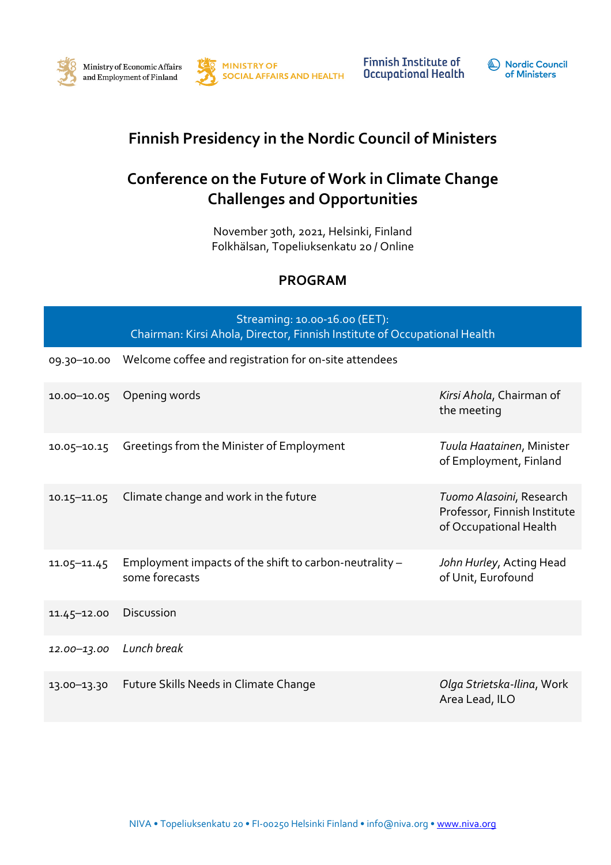



**Finnish Institute of Occupational Health** 



## **Finnish Presidency in the Nordic Council of Ministers**

## **Conference on the Future of Work in Climate Change Challenges and Opportunities**

November 30th, 2021, Helsinki, Finland Folkhälsan, Topeliuksenkatu 20 / Online

## **PROGRAM**

|             | Streaming: 10.00-16.00 (EET):<br>Chairman: Kirsi Ahola, Director, Finnish Institute of Occupational Health |                                                                                    |  |
|-------------|------------------------------------------------------------------------------------------------------------|------------------------------------------------------------------------------------|--|
| 09.30-10.00 | Welcome coffee and registration for on-site attendees                                                      |                                                                                    |  |
| 10.00-10.05 | Opening words                                                                                              | Kirsi Ahola, Chairman of<br>the meeting                                            |  |
| 10.05-10.15 | Greetings from the Minister of Employment                                                                  | Tuula Haatainen, Minister<br>of Employment, Finland                                |  |
| 10.15-11.05 | Climate change and work in the future                                                                      | Tuomo Alasoini, Research<br>Professor, Finnish Institute<br>of Occupational Health |  |
| 11.05-11.45 | Employment impacts of the shift to carbon-neutrality -<br>some forecasts                                   | John Hurley, Acting Head<br>of Unit, Eurofound                                     |  |
| 11.45-12.00 | <b>Discussion</b>                                                                                          |                                                                                    |  |
| 12.00-13.00 | Lunch break                                                                                                |                                                                                    |  |
| 13.00-13.30 | Future Skills Needs in Climate Change                                                                      | Olga Strietska-Ilina, Work<br>Area Lead, ILO                                       |  |